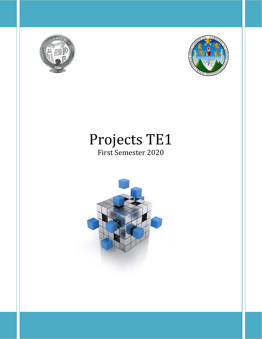



# Projects TE1 First Semester 2020

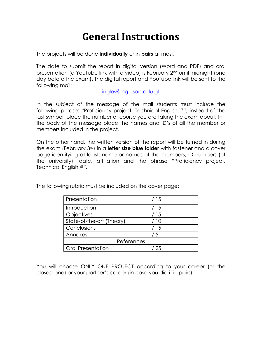# **General Instructions**

The projects will be done **individually** or in **pairs** at most.

The date to submit the report in digital version (Word and PDF) and oral presentation (a YouTube link with a video) is February 2nd until midnight (one day before the exam). The digital report and YouTube link will be sent to the following mail:

## [ingles@ing.usac.edu.gt](mailto:ingles@ing.usac.edu.gt)

In the subject of the message of the mail students must include the following phrase: "Proficiency project, Technical English #", instead of the last symbol, place the number of course you are taking the exam about. In the body of the message place the names and ID's of all the member or members included in the project.

On the other hand, the written version of the report will be turned in during the exam (February 3rd) in a **letter size blue folder** with fastener and a cover page identifying at least: name or names of the members, ID numbers (of the university), date, affiliation and the phrase "Proficiency project, Technical English #".

The following rubric must be included on the cover page:

| Presentation              | /15  |
|---------------------------|------|
| Introduction              | / 15 |
| Objectives                | / 15 |
| State-of-the-art (Theory) | -10  |
| Conclusions               | / 15 |
| Annexes                   | 5    |
| References                |      |
| <b>Oral Presentation</b>  | 25   |

You will choose ONLY ONE PROJECT according to your career (or the closest one) or your partner's career (in case you did it in pairs).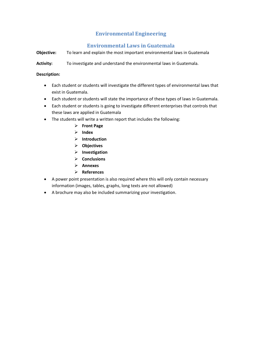# **Environmental Engineering**

## **Environmental Laws in Guatemala**

**Objective:** To learn and explain the most important environmental laws in Guatemala

**Activity:** To investigate and understand the environmental laws in Guatemala.

- Each student or students will investigate the different types of environmental laws that exist in Guatemala.
- Each student or students will state the importance of these types of laws in Guatemala.
- Each student or students is going to investigate different enterprises that controls that these laws are applied in Guatemala
- The students will write a written report that includes the following:
	- ➢ **Front Page**
	- ➢ **Index**
	- ➢ **Introduction**
	- ➢ **Objectives**
	- ➢ **Investigation**
	- ➢ **Conclusions**
	- ➢ **Annexes**
	- ➢ **References**
- A power point presentation is also required where this will only contain necessary information (images, tables, graphs, long texts are not allowed)
- A brochure may also be included summarizing your investigation.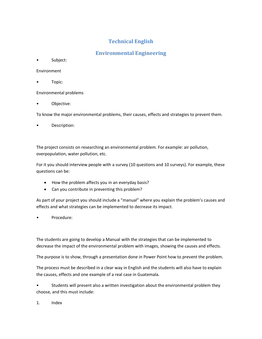## **Technical English**

## **Environmental Engineering**

• Subject:

Environment

• Topic:

Environmental problems

• Objective:

To know the major environmental problems, their causes, effects and strategies to prevent them.

• Description:

The project consists on researching an environmental problem. For example: air pollution, overpopulation, water pollution, etc.

For it you should interview people with a survey (10 questions and 10 surveys). For example, these questions can be:

- How the problem affects you in an everyday basis?
- Can you contribute in preventing this problem?

As part of your project you should include a "manual" where you explain the problem's causes and effects and what strategies can be implemented to decrease its impact.

Procedure:

The students are going to develop a Manual with the strategies that can be implemented to decrease the impact of the environmental problem with images, showing the causes and effects.

The purpose is to show, through a presentation done in Power Point how to prevent the problem.

The process must be described in a clear way in English and the students will also have to explain the causes, effects and one example of a real case in Guatemala.

• Students will present also a written investigation about the environmental problem they choose, and this must include:

1. Index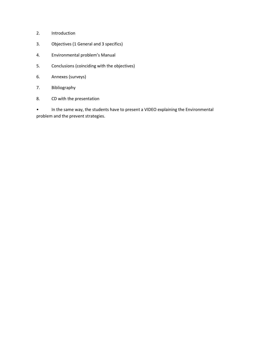- 2. Introduction
- 3. Objectives (1 General and 3 specifics)
- 4. Environmental problem's Manual
- 5. Conclusions (coinciding with the objectives)
- 6. Annexes (surveys)
- 7. Bibliography
- 8. CD with the presentation

• In the same way, the students have to present a VIDEO explaining the Environmental problem and the prevent strategies.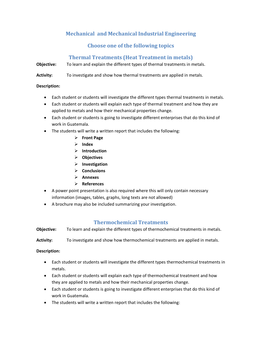# **Mechanical and Mechanical Industrial Engineering**

## **Choose one of the following topics**

## **Thermal Treatments (Heat Treatment in metals)**

**Objective:** To learn and explain the different types of thermal treatments in metals.

**Activity:** To investigate and show how thermal treatments are applied in metals.

#### **Description:**

- Each student or students will investigate the different types thermal treatments in metals.
- Each student or students will explain each type of thermal treatment and how they are applied to metals and how their mechanical properties change.
- Each student or students is going to investigate different enterprises that do this kind of work in Guatemala.
- The students will write a written report that includes the following:
	- ➢ **Front Page**
	- ➢ **Index**
	- ➢ **Introduction**
	- ➢ **Objectives**
	- ➢ **Investigation**
	- ➢ **Conclusions**
	- ➢ **Annexes**
	- ➢ **References**
- A power point presentation is also required where this will only contain necessary information (images, tables, graphs, long texts are not allowed)
- A brochure may also be included summarizing your investigation.

## **Thermochemical Treatments**

**Objective:** To learn and explain the different types of thermochemical treatments in metals.

**Activity:** To investigate and show how thermochemical treatments are applied in metals.

- Each student or students will investigate the different types thermochemical treatments in metals.
- Each student or students will explain each type of thermochemical treatment and how they are applied to metals and how their mechanical properties change.
- Each student or students is going to investigate different enterprises that do this kind of work in Guatemala.
- The students will write a written report that includes the following: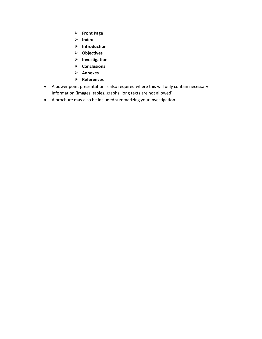- ➢ **Front Page**
- ➢ **Index**
- ➢ **Introduction**
- ➢ **Objectives**
- ➢ **Investigation**
- ➢ **Conclusions**
- ➢ **Annexes**
- ➢ **References**
- A power point presentation is also required where this will only contain necessary information (images, tables, graphs, long texts are not allowed)
- A brochure may also be included summarizing your investigation.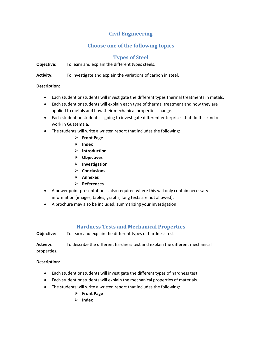## **Civil Engineering**

# **Choose one of the following topics**

## **Types of Steel**

**Objective:** To learn and explain the different types steels.

**Activity:** To investigate and explain the variations of carbon in steel.

#### **Description:**

- Each student or students will investigate the different types thermal treatments in metals.
- Each student or students will explain each type of thermal treatment and how they are applied to metals and how their mechanical properties change.
- Each student or students is going to investigate different enterprises that do this kind of work in Guatemala.
- The students will write a written report that includes the following:
	- ➢ **Front Page**
	- ➢ **Index**
	- ➢ **Introduction**
	- ➢ **Objectives**
	- ➢ **Investigation**
	- ➢ **Conclusions**
	- ➢ **Annexes**
	- ➢ **References**
- A power point presentation is also required where this will only contain necessary information (images, tables, graphs, long texts are not allowed).
- A brochure may also be included, summarizing your investigation.

## **Hardness Tests and Mechanical Properties**

**Objective:** To learn and explain the different types of hardness test

**Activity:** To describe the different hardness test and explain the different mechanical properties.

- Each student or students will investigate the different types of hardness test.
- Each student or students will explain the mechanical properties of materials.
- The students will write a written report that includes the following:
	- ➢ **Front Page**
	- ➢ **Index**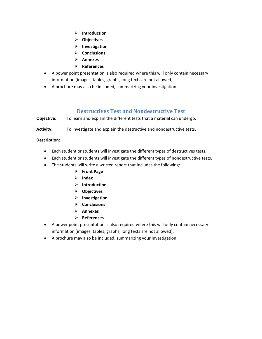- ➢ **Introduction**
- ➢ **Objectives**
- ➢ **Investigation**
- ➢ **Conclusions**
- ➢ **Annexes**
- ➢ **References**
- A power point presentation is also required where this will only contain necessary information (images, tables, graphs, long texts are not allowed).
- A brochure may also be included, summarizing your investigation.

## **Destructives Test and Nondestructive Test**

**Objective:** To learn and explain the different tests that a material can undergo.

Activity: To investigate and explain the destructive and nondestructive tests.

- Each student or students will investigate the different types of destructives tests.
- Each student or students will investigate the different types of nondestructive tests.
- The students will write a written report that includes the following:
	- ➢ **Front Page**
	- ➢ **Index**
	- ➢ **Introduction**
	- ➢ **Objectives**
	- ➢ **Investigation**
	- ➢ **Conclusions**
	- ➢ **Annexes**
	- ➢ **References**
- A power point presentation is also required where this will only contain necessary information (images, tables, graphs, long texts are not allowed).
- A brochure may also be included, summarizing your investigation.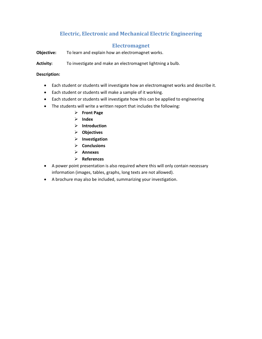# **Electric, Electronic and Mechanical Electric Engineering**

## **Electromagnet**

**Objective:** To learn and explain how an electromagnet works.

**Activity:** To investigate and make an electromagnet lightning a bulb.

- Each student or students will investigate how an electromagnet works and describe it.
- Each student or students will make a sample of it working.
- Each student or students will investigate how this can be applied to engineering
- The students will write a written report that includes the following:
	- ➢ **Front Page**
	- ➢ **Index**
	- ➢ **Introduction**
	- ➢ **Objectives**
	- ➢ **Investigation**
	- ➢ **Conclusions**
	- ➢ **Annexes**
	- ➢ **References**
- A power point presentation is also required where this will only contain necessary information (images, tables, graphs, long texts are not allowed).
- A brochure may also be included, summarizing your investigation.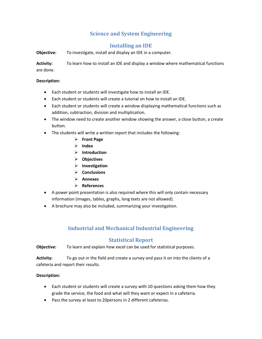## **Science and System Engineering**

## **Installing an IDE**

**Objective:** To investigate, install and display an IDE in a computer.

**Activity:** To learn how to install an IDE and display a window where mathematical functions are done.

#### **Description:**

- Each student or students will investigate how to install an IDE.
- Each student or students will create a tutorial on how to install an IDE.
- Each student or students will create a window displaying mathematical functions such as addition, subtraction, division and multiplication.
- The window need to create another window showing the answer, a close button, a create button.
- The students will write a written report that includes the following:
	- ➢ **Front Page**
	- ➢ **Index**
	- ➢ **Introduction**
	- ➢ **Objectives**
	- ➢ **Investigation**
	- ➢ **Conclusions**
	- ➢ **Annexes**
	- ➢ **References**
- A power point presentation is also required where this will only contain necessary information (images, tables, graphs, long texts are not allowed).
- A brochure may also be included, summarizing your investigation.

## **Industrial and Mechanical Industrial Engineering**

## **Statistical Report**

**Objective:** To learn and explain how excel can be used for statistical purposes.

**Activity:** To go out in the field and create a survey and pass it on into the clients of a cafeteria and report their results.

- Each student or students will create a survey with 10 questions asking them how they grade the service, the food and what will they want or expect in a cafeteria.
- Pass the survey at least to 20persons in 2 different cafeterias.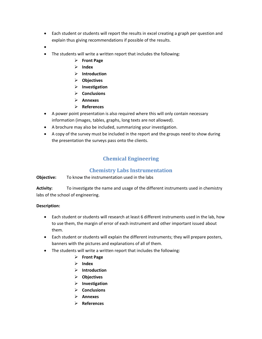- Each student or students will report the results in excel creating a graph per question and explain thus giving recommendations if possible of the results.
- •
- The students will write a written report that includes the following:
	- ➢ **Front Page**
	- ➢ **Index**
	- ➢ **Introduction**
	- ➢ **Objectives**
	- ➢ **Investigation**
	- ➢ **Conclusions**
	- ➢ **Annexes**
	- ➢ **References**
- A power point presentation is also required where this will only contain necessary information (images, tables, graphs, long texts are not allowed).
- A brochure may also be included, summarizing your investigation.
- A copy of the survey must be included in the report and the groups need to show during the presentation the surveys pass onto the clients.

# **Chemical Engineering**

## **Chemistry Labs Instrumentation**

#### **Objective:** To know the instrumentation used in the labs

**Activity:** To investigate the name and usage of the different instruments used in chemistry labs of the school of engineering.

- Each student or students will research at least 6 different instruments used in the lab, how to use them, the margin of error of each instrument and other important issued about them.
- Each student or students will explain the different instruments; they will prepare posters, banners with the pictures and explanations of all of them.
- The students will write a written report that includes the following:
	- ➢ **Front Page**
	- ➢ **Index**
	- ➢ **Introduction**
	- ➢ **Objectives**
	- ➢ **Investigation**
	- ➢ **Conclusions**
	- ➢ **Annexes**
	- ➢ **References**